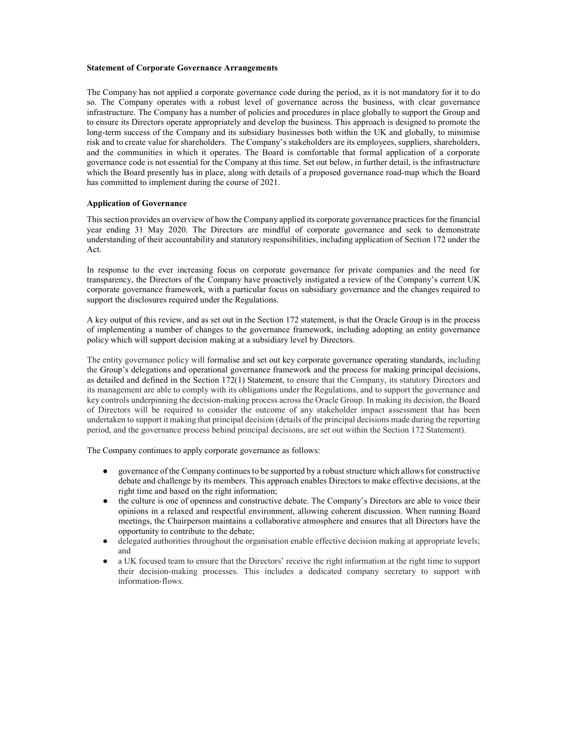#### Statement of Corporate Governance Arrangements

 The Company has not applied a corporate governance code during the period, as it is not mandatory for it to do so. The Company operates with a robust level of governance across the business, with clear governance infrastructure. The Company has a number of policies and procedures in place globally to support the Group and to ensure its Directors operate appropriately and develop the business. This approach is designed to promote the long-term success of the Company and its subsidiary businesses both within the UK and globally, to minimise risk and to create value for shareholders. The Company's stakeholders are its employees, suppliers, shareholders, and the communities in which it operates. The Board is comfortable that formal application of a corporate governance code is not essential for the Company at this time. Set out below, in further detail, is the infrastructure which the Board presently has in place, along with details of a proposed governance road-map which the Board has committed to implement during the course of 2021.

#### Application of Governance

This section provides an overview of how the Company applied its corporate governance practices for the financial year ending 31 May 2020. The Directors are mindful of corporate governance and seek to demonstrate understanding of their accountability and statutory responsibilities, including application of Section 172 under the Act.

 In response to the ever increasing focus on corporate governance for private companies and the need for transparency, the Directors of the Company have proactively instigated a review of the Company's current UK corporate governance framework, with a particular focus on subsidiary governance and the changes required to support the disclosures required under the Regulations.

 A key output of this review, and as set out in the Section 172 statement, is that the Oracle Group is in the process of implementing a number of changes to the governance framework, including adopting an entity governance policy which will support decision making at a subsidiary level by Directors.

 The entity governance policy will formalise and set out key corporate governance operating standards, including the Group's delegations and operational governance framework and the process for making principal decisions, as detailed and defined in the Section 172(1) Statement, to ensure that the Company, its statutory Directors and its management are able to comply with its obligations under the Regulations, and to support the governance and key controls underpinning the decision-making process across the Oracle Group. In making its decision, the Board of Directors will be required to consider the outcome of any stakeholder impact assessment that has been undertaken to support it making that principal decision (details of the principal decisions made during the reporting period, and the governance process behind principal decisions, are set out within the Section 172 Statement).

The Company continues to apply corporate governance as follows:

- governance of the Company continues to be supported by a robust structure which allows for constructive debate and challenge by its members. This approach enables Directors to make effective decisions, at the right time and based on the right information;
- the culture is one of openness and constructive debate. The Company's Directors are able to voice their opinions in a relaxed and respectful environment, allowing coherent discussion. When running Board meetings, the Chairperson maintains a collaborative atmosphere and ensures that all Directors have the opportunity to contribute to the debate;
- delegated authorities throughout the organisation enable effective decision making at appropriate levels; and
- ● a UK focused team to ensure that the Directors' receive the right information at the right time to support their decision-making processes. This includes a dedicated company secretary to support with information-flows.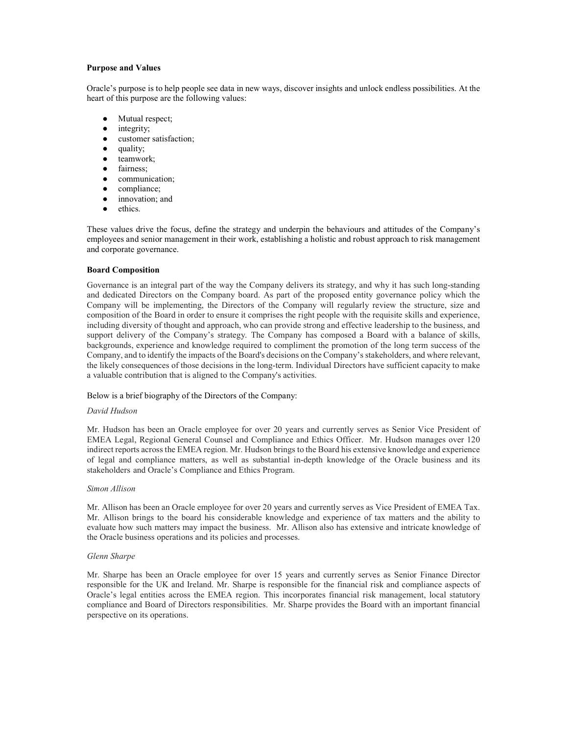#### Purpose and Values

 Oracle's purpose is to help people see data in new ways, discover insights and unlock endless possibilities. At the heart of this purpose are the following values:

- Mutual respect;
- integrity;
- customer satisfaction;
- quality;
- teamwork;
- fairness;
- communication;
- compliance;
- innovation; and
- ethics.

 These values drive the focus, define the strategy and underpin the behaviours and attitudes of the Company's employees and senior management in their work, establishing a holistic and robust approach to risk management and corporate governance.

# Board Composition

 Governance is an integral part of the way the Company delivers its strategy, and why it has such long-standing and dedicated Directors on the Company board. As part of the proposed entity governance policy which the Company will be implementing, the Directors of the Company will regularly review the structure, size and composition of the Board in order to ensure it comprises the right people with the requisite skills and experience, including diversity of thought and approach, who can provide strong and effective leadership to the business, and support delivery of the Company's strategy. The Company has composed a Board with a balance of skills, backgrounds, experience and knowledge required to compliment the promotion of the long term success of the Company, and to identify the impacts of the Board's decisions on the Company's stakeholders, and where relevant, the likely consequences of those decisions in the long-term. Individual Directors have sufficient capacity to make a valuable contribution that is aligned to the Company's activities.

# Below is a brief biography of the Directors of the Company:

# David Hudson

 Mr. Hudson has been an Oracle employee for over 20 years and currently serves as Senior Vice President of EMEA Legal, Regional General Counsel and Compliance and Ethics Officer. Mr. Hudson manages over 120 indirect reports across the EMEA region. Mr. Hudson brings to the Board his extensive knowledge and experience of legal and compliance matters, as well as substantial in-depth knowledge of the Oracle business and its stakeholders and Oracle's Compliance and Ethics Program.

# Simon Allison

 Mr. Allison has been an Oracle employee for over 20 years and currently serves as Vice President of EMEA Tax. Mr. Allison brings to the board his considerable knowledge and experience of tax matters and the ability to evaluate how such matters may impact the business. Mr. Allison also has extensive and intricate knowledge of the Oracle business operations and its policies and processes.

# Glenn Sharpe

 Mr. Sharpe has been an Oracle employee for over 15 years and currently serves as Senior Finance Director responsible for the UK and Ireland. Mr. Sharpe is responsible for the financial risk and compliance aspects of Oracle's legal entities across the EMEA region. This incorporates financial risk management, local statutory compliance and Board of Directors responsibilities. Mr. Sharpe provides the Board with an important financial perspective on its operations.